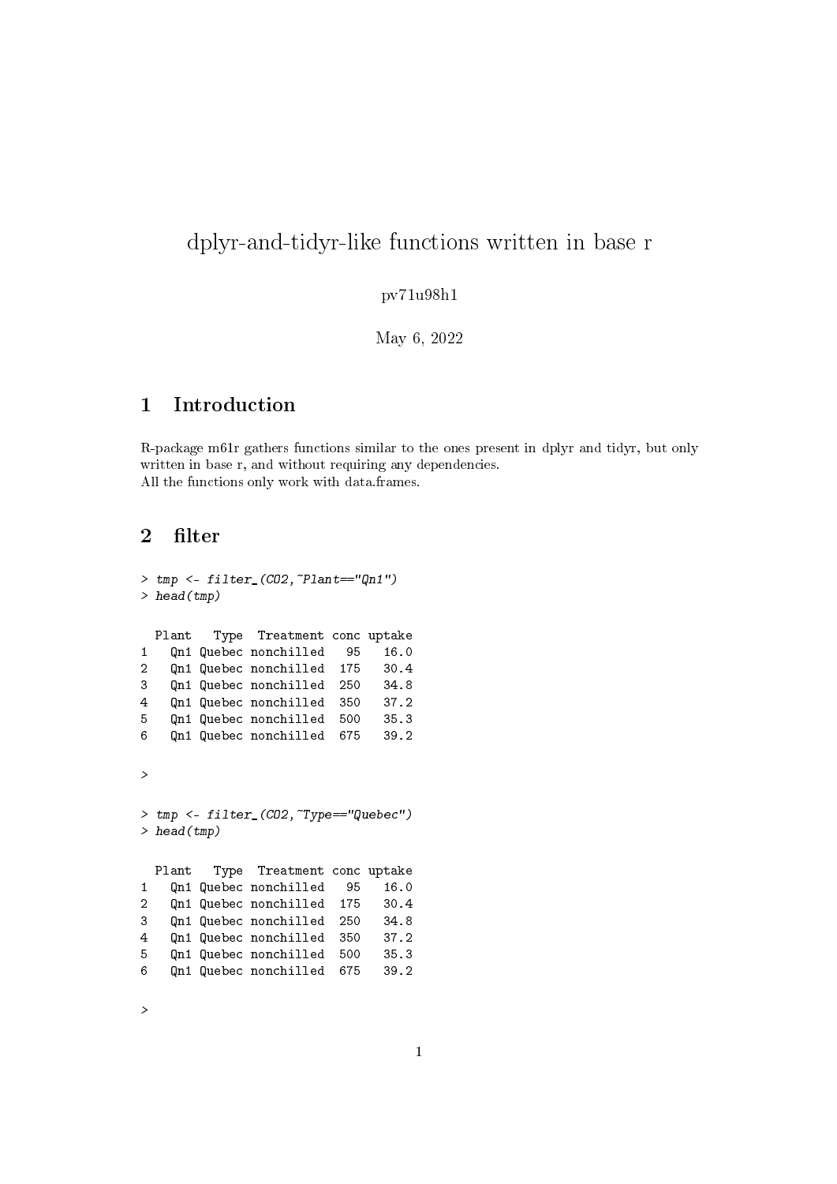# dplyr-and-tidyr-like functions written in base r

#### pv71u98h1

May 6, 2022

## 1 Introduction

R-package m61r gathers functions similar to the ones present in dplyr and tidyr, but only written in base r, and without requiring any dependencies. All the functions only work with data.frames.

## 2 filter

```
> tmp <- filter_(CO2,~Plant=="Qn1")
> head(tmp)
 Plant Type Treatment conc uptake
1 Qn1 Quebec nonchilled 95 16.0<br>2 On1 Quebec nonchilled 175 30.4
2 Qn1 Quebec nonchilled 175
3 Qn1 Quebec nonchilled 250 34.8
4 Qn1 Quebec nonchilled 350 37.2
5 Qn1 Quebec nonchilled 500 35.3
6 Qn1 Quebec nonchilled 675 39.2
>
> tmp <- filter_(CO2,~Type=="Quebec")
> head(tmp)
 Plant Type Treatment conc uptake
1 Qn1 Quebec nonchilled 95 16.0
2 Qn1 Quebec nonchilled 175 30.4
3 Qn1 Quebec nonchilled 250 34.8
4 Qn1 Quebec nonchilled 350 37.2
5 Qn1 Quebec nonchilled 500 35.3
6 Qn1 Quebec nonchilled 675 39.2
```
>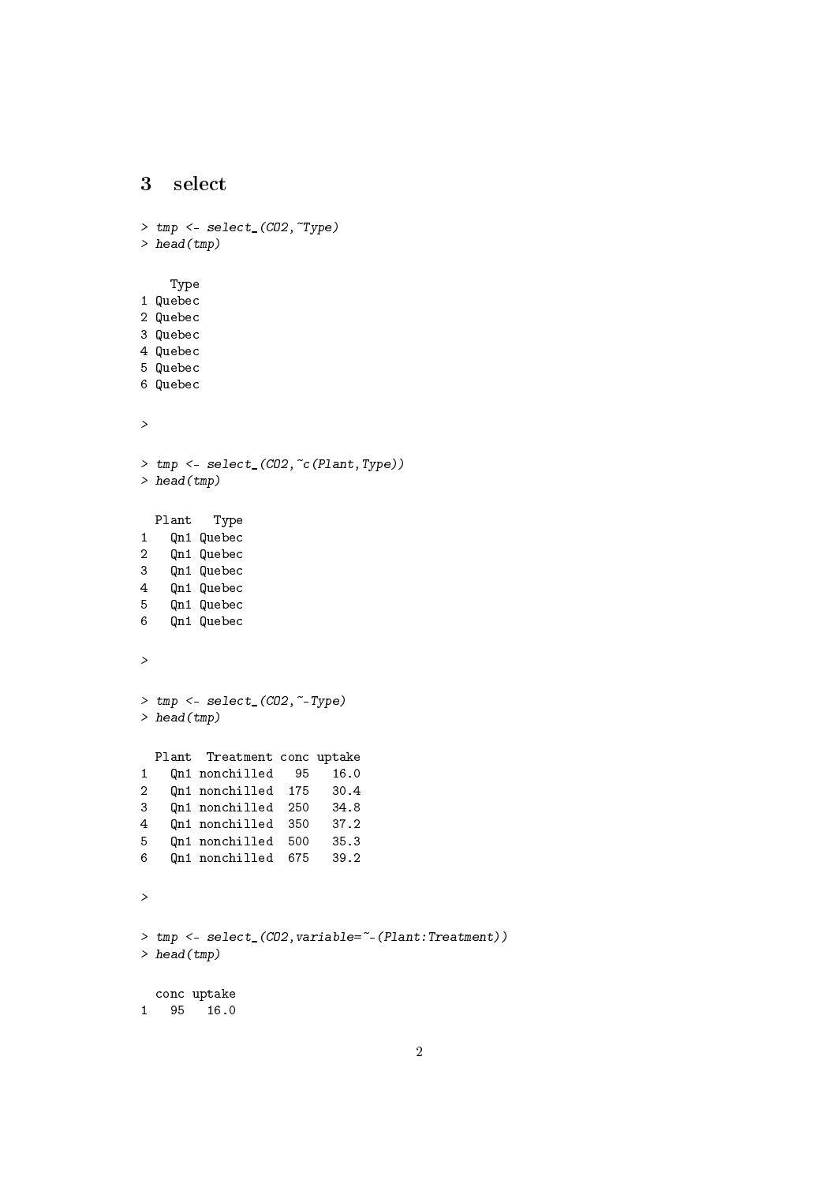## 3 select

```
> tmp <- select_(CO2,~Type)
> head(tmp)
   Type
1 Quebec
2 Quebec
3 Quebec
4 Quebec
5 Quebec
6 Quebec
>
> tmp <- select_(CO2,~c(Plant,Type))
> head(tmp)
 Plant Type
1 Qn1 Quebec
2 Qn1 Quebec
3 Qn1 Quebec
4 Qn1 Quebec
5 Qn1 Quebec
6 Qn1 Quebec
>
> tmp <- select_(CO2,~-Type)
> head(tmp)
 Plant Treatment conc uptake
1 Qn1 nonchilled 95 16.0
2 Qn1 nonchilled 175 30.4
3 Qn1 nonchilled 250 34.8
4 Qn1 nonchilled 350 37.2
5 Qn1 nonchilled 500 35.3
6 Qn1 nonchilled 675 39.2
>
> tmp <- select_(CO2,variable=~-(Plant:Treatment))
> head(tmp)
 conc uptake
1 95 16.0
```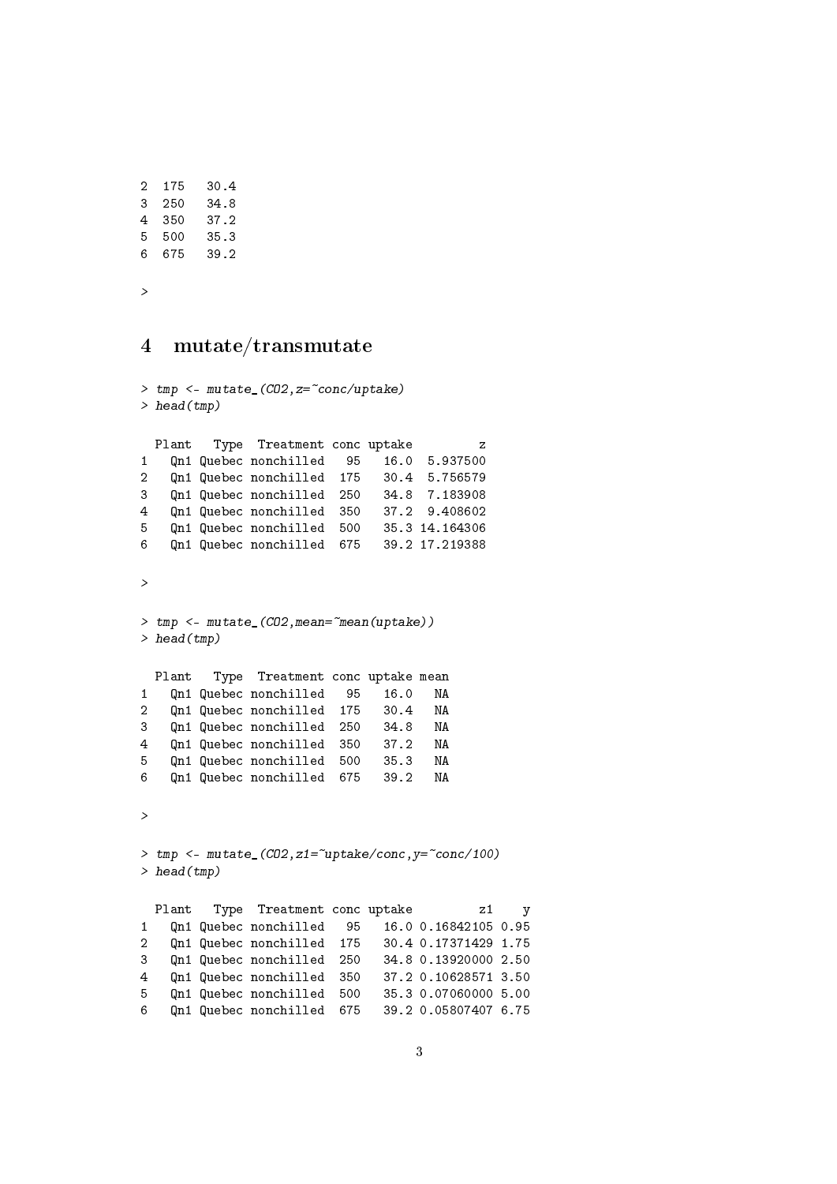| 2 | 175 | 30.4 |
|---|-----|------|
| 3 | 250 | 34.8 |
| 4 | 350 | 37.2 |
| 5 | 500 | 35.3 |
| 6 | 675 | 39.2 |
|   |     |      |

>

## 4 mutate/transmutate

```
> tmp <- mutate_(CO2,z=~conc/uptake)
> head(tmp)
 Plant Type Treatment conc uptake z
1 Qn1 Quebec nonchilled 95 16.0 5.937500
2 Qn1 Quebec nonchilled 175 30.4 5.756579
3 Qn1 Quebec nonchilled 250 34.8 7.183908
4 Qn1 Quebec nonchilled 350 37.2 9.408602
5 Qn1 Quebec nonchilled 500 35.3 14.164306
6 Qn1 Quebec nonchilled 675 39.2 17.219388
\ddot{\phantom{1}}> tmp <- mutate_(CO2,mean=~mean(uptake))
> head(tmp)
 Plant Type Treatment conc uptake mean
1 Qn1 Quebec nonchilled 95 16.0 NA
2 Qn1 Quebec nonchilled 175 30.4 NA
3 Qn1 Quebec nonchilled 250 34.8 NA
4 Qn1 Quebec nonchilled 350 37.2 NA
5 Qn1 Quebec nonchilled 500 35.3 NA
6 Qn1 Quebec nonchilled 675 39.2 NA
>
> tmp <- mutate_(C02, z1="sup> = "uptake/conc, y="conc/100)> head(tmp)
 Plant Type Treatment conc uptake z1 y
1 Qn1 Quebec nonchilled 95 16.0 0.16842105 0.95
2 Qn1 Quebec nonchilled 175 30.4 0.17371429 1.75
3 Qn1 Quebec nonchilled 250 34.8 0.13920000 2.50
4 Qn1 Quebec nonchilled 350 37.2 0.10628571 3.50
5 Qn1 Quebec nonchilled 500 35.3 0.07060000 5.00
6 Qn1 Quebec nonchilled 675
```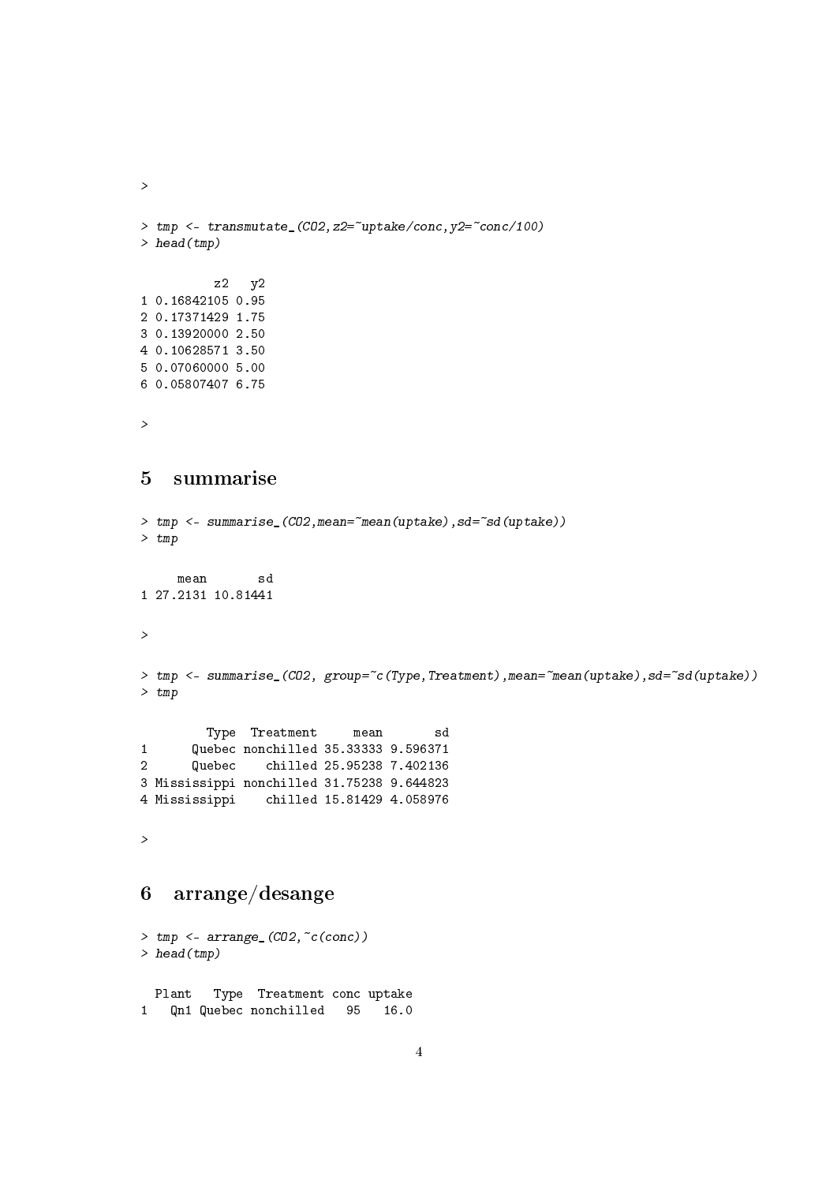```
>
> tmp \leftarrow transmutate_{(CO2, Z2=^{\sim}uptake/conc, y2=^{\sim}conc/100)> head(tmp)
         z2 y2
1 0.16842105 0.95
2 0.17371429 1.75
3 0.13920000 2.50
4 0.10628571 3.50
5 0.07060000 5.00
6 0.05807407 6.75
>
5 summarise
> tmp <- summarise_(CO2, mean="mean(uptake), sd="sd(uptake))
> tmp
     mean sd
1 27.2131 10.81441
>
> tmp <- summarise_(CO2, group="c(Type,Treatment),mean="mean(uptake),sd="sd(uptake))
> tmp
         Type Treatment mean sd
1 Quebec nonchilled 35.33333 9.596371
2 Quebec chilled 25.95238 7.402136
3 Mississippi nonchilled 31.75238 9.644823
              4 Mississippi chilled 15.81429 4.058976
>
```
## 6 arrange/desange

```
> tmp <- arrange_(CO2,~c(conc))
> head(tmp)
 Plant Type Treatment conc uptake
1 Qn1 Quebec nonchilled 95 16.0
```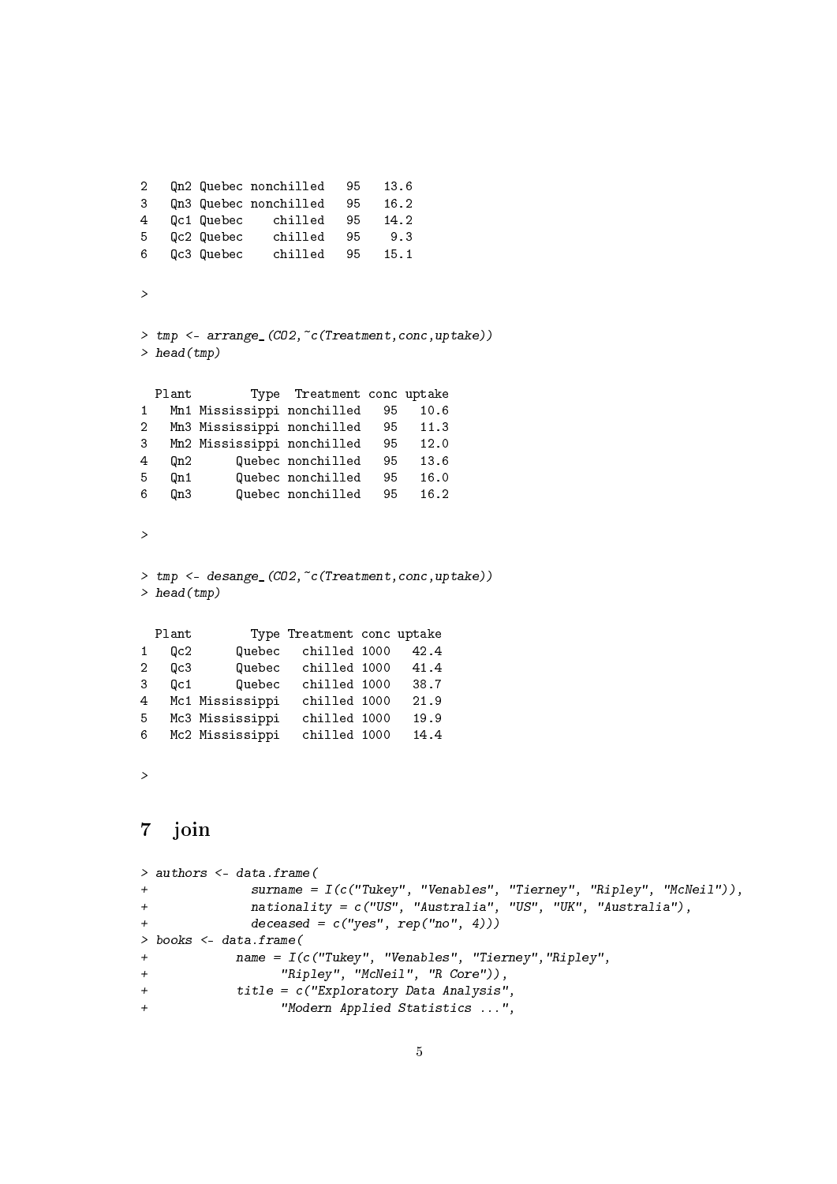```
2 Qn2 Quebec nonchilled 95 13.6
3 Qn3 Quebec nonchilled 95 16.2
4 Qc1 Quebec chilled 95 14.2
5 Qc2 Quebec chilled 95 9.3
6 Qc3 Quebec chilled 95 15.1
>
> tmp <- arrange_(CO2,~c(Treatment,conc,uptake))
> head(tmp)
 Plant Type Treatment conc uptake
1 Mn1 Mississippi nonchilled 95 10.6
2 Mn3 Mississippi nonchilled 95 11.3
3 Mn2 Mississippi nonchilled 95 12.0
4 Qn2 Quebec nonchilled 95 13.6
5 Qn1 Quebec nonchilled 95 16.0
6 Qn3 Quebec nonchilled 95 16.2
\rightarrow> tmp <- desange_(CO2,~c(Treatment,conc,uptake))
> head(tmp)
 Plant Type Treatment conc uptake
1 Qc2 Quebec chilled 1000 42.4
2 Qc3 Quebec chilled 1000 41.4
          Quebec chilled 1000
4 Mc1 Mississippi chilled 1000 21.9
5 Mc3 Mississippi chilled 1000 19.9
6 Mc2 Mississippi chilled 1000 14.4
>
7 join
> authors <- data.frame(
+ surname = I(c("Tukey", "Venables", "Tierney", "Ripley", "McNeil")),
+ nationality = c("US", "Australia", "US", "UK", "Australia"),
+ deceased = c("yes", rep("no", 4)))
> books <- data.frame(
+ name = I(c("Tukey", "Venables", "Tierney","Ripley",
+ "Ripley", "McNeil", "R Core")),
+ title = c("Exploratory Data Analysis",
+ "Modern Applied Statistics ...",
```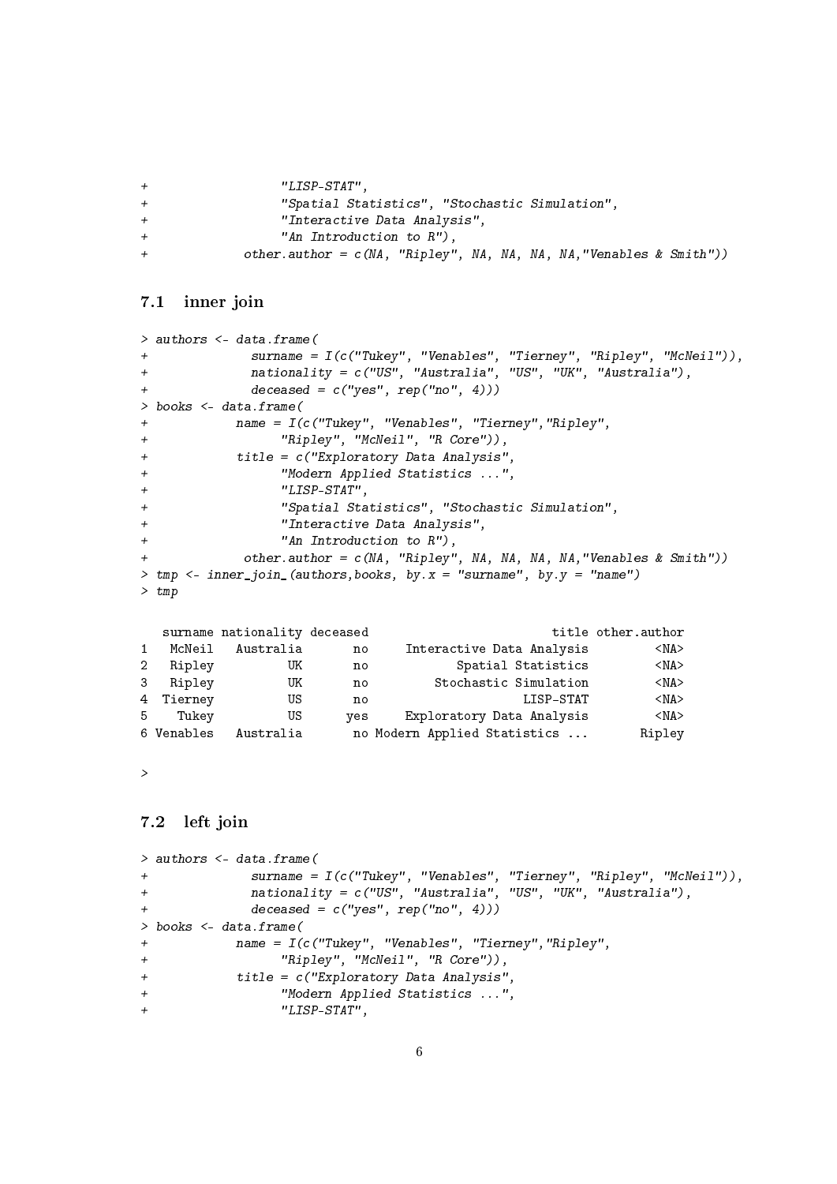```
+ "LISP-STAT",
+ "Spatial Statistics", "Stochastic Simulation",
+ "Interactive Data Analysis",
+ "An Introduction to R"),
+ other.author = c(NA, "Ripley", NA, NA, NA, NA,"Venables & Smith"))
```
### 7.1 inner join

```
> authors <- data.frame(
+ surname = I(c("Tukey", "Venables", "Tierney", "Ripley", "McNeil")),
+ nationality = c("US", "Australia", "US", "UK", "Australia"),
+ deceased = c("yes", rep("no", 4)))
> books <- data.frame(
+ name = I(c("Tukey", "Venables", "Tierney","Ripley",
+ "Ripley", "McNeil", "R Core")),
+ title = c("Exploratory Data Analysis",
+ "Modern Applied Statistics ...",
+ "LISP-STAT",
+ "Spatial Statistics", "Stochastic Simulation",
+ "Interactive Data Analysis",
+ "An Introduction to R"),
           other.author = c(NA, "Ripley", NA, NA, NA, "Venables & Smith"))> tmp \leftarrow inner\_join_ (authors, books, by. x = "surname", by y = "name")> tmp
```

|                |             | surname nationality deceased |     |                              | title other.author |
|----------------|-------------|------------------------------|-----|------------------------------|--------------------|
| $\mathbf{1}$   | McNeil      | Australia                    | no  | Interactive Data Analysis    | $<$ NA $>$         |
| $\overline{2}$ | Ripley      | UK                           | no  | Spatial Statistics           | $<$ NA $>$         |
| 3 <sup>1</sup> | Ripley      | UK                           | no  | Stochastic Simulation        | $<$ NA $>$         |
|                | 4 Tierney   | US                           | no  | LISP-STAT                    | $<$ NA $>$         |
|                | 5.<br>Tukey | US                           | ves | Exploratory Data Analysis    | $<$ NA $>$         |
|                | 6 Venables  | Australia                    |     | no Modern Applied Statistics | Ripley             |

>

## 7.2 left join

```
> authors <- data.frame(
+ surname = I(c("Tukey", "Venables", "Tierney", "Ripley", "McNeil")),
+ nationality = c("US", "Australia", "US", "UK", "Australia"),
+ deceased = c("yes", rep("no", 4)))> books <- data.frame(
+ name = I(c("Tukey", "Venables", "Tierney","Ripley",
+ "Ripley", "McNeil", "R Core")),
+ title = c("Exploratory Data Analysis",
+ "Modern Applied Statistics ...",
+ "LISP-STAT",
```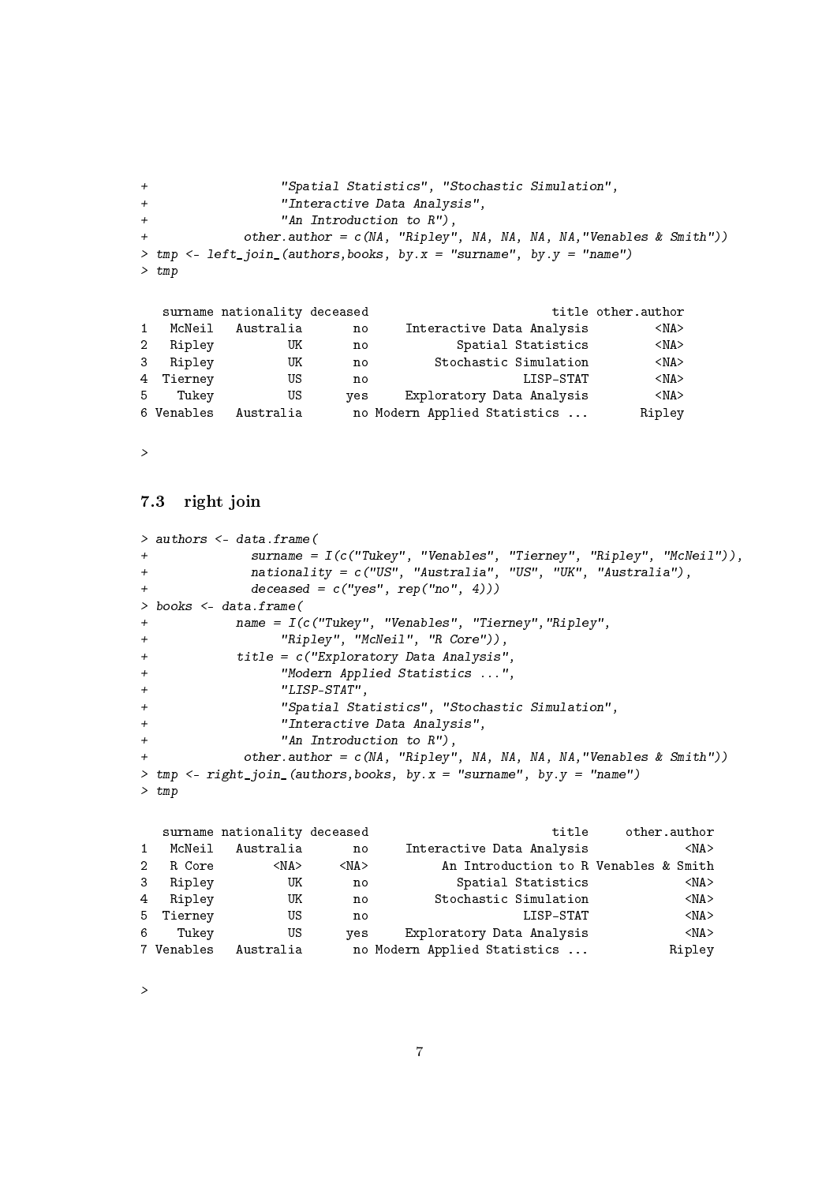```
+ "Spatial Statistics", "Stochastic Simulation",
+ "Interactive Data Analysis",
+ "An Introduction to R"),
+ other.author = c(NA, "Ripley", NA, NA, NA, NA,"Venables & Smith"))
> tmp \leq left_join_(authors, books, by.x = "surname", by.y = "name")
> tmp
```

|                |            | surname nationality deceased |     |                              | title other.author |
|----------------|------------|------------------------------|-----|------------------------------|--------------------|
| $\mathbf{1}$   | McNeil     | Australia                    | no  | Interactive Data Analysis    | $<$ NA $>$         |
| 2 <sup>1</sup> | Ripley     | UK                           | no  | Spatial Statistics           | $<$ NA $>$         |
| 3              | Ripley     | UK                           | no  | Stochastic Simulation        | $<$ NA $>$         |
|                | 4 Tierney  | US                           | no  | LISP-STAT                    | $<$ NA $>$         |
|                | 5 Tukey    | US                           | ves | Exploratory Data Analysis    | $<$ NA $>$         |
|                | 6 Venables | Australia                    |     | no Modern Applied Statistics | Ripley             |

>

#### 7.3 right join

```
> authors <- data.frame(
+ surname = I(c("Tukey", "Venables", "Tierney", "Ripley", "McNeil")),
+ nationality = c("US", "Australia", "US", "UK", "Australia"),
+ deceased = c("yes", rep("no", 4)))
> books <- data.frame(
+ name = I(c("Tukey", "Venables", "Tierney","Ripley",
+ "Ripley", "McNeil", "R Core")),
+ title = c("Exploratory Data Analysis",
+ "Modern Applied Statistics ...",
+ "LISP-STAT",
+ "Spatial Statistics", "Stochastic Simulation",
+ "Interactive Data Analysis",
+ "An Introduction to R"),
+ other.author = c(NA, "Ripley", NA, NA, NA, NA,"Venables & Smith"))
> tmp \leftarrow right\_join_ (authors, books, by.x = "surname", by.y = "name")> tmp
```

|                |            | surname nationality deceased |            | title                                 | other.author |
|----------------|------------|------------------------------|------------|---------------------------------------|--------------|
| 1              | McNeil     | Australia                    | no         | Interactive Data Analysis             | $<$ NA $>$   |
| $\overline{2}$ | R Core     | $<$ NA $>$                   | $<$ NA $>$ | An Introduction to R Venables & Smith |              |
| 3              | Ripley     | UK                           | no         | Spatial Statistics                    | $<$ NA $>$   |
| 4              | Ripley     | UK                           | no         | Stochastic Simulation                 | $<$ NA $>$   |
|                | 5 Tierney  | US                           | no         | LISP-STAT                             | $<$ NA $>$   |
| -6             | Tukev      | US                           | ves        | Exploratory Data Analysis             | $<$ NA $>$   |
|                | 7 Venables | Australia                    |            | no Modern Applied Statistics          | Ripley       |

>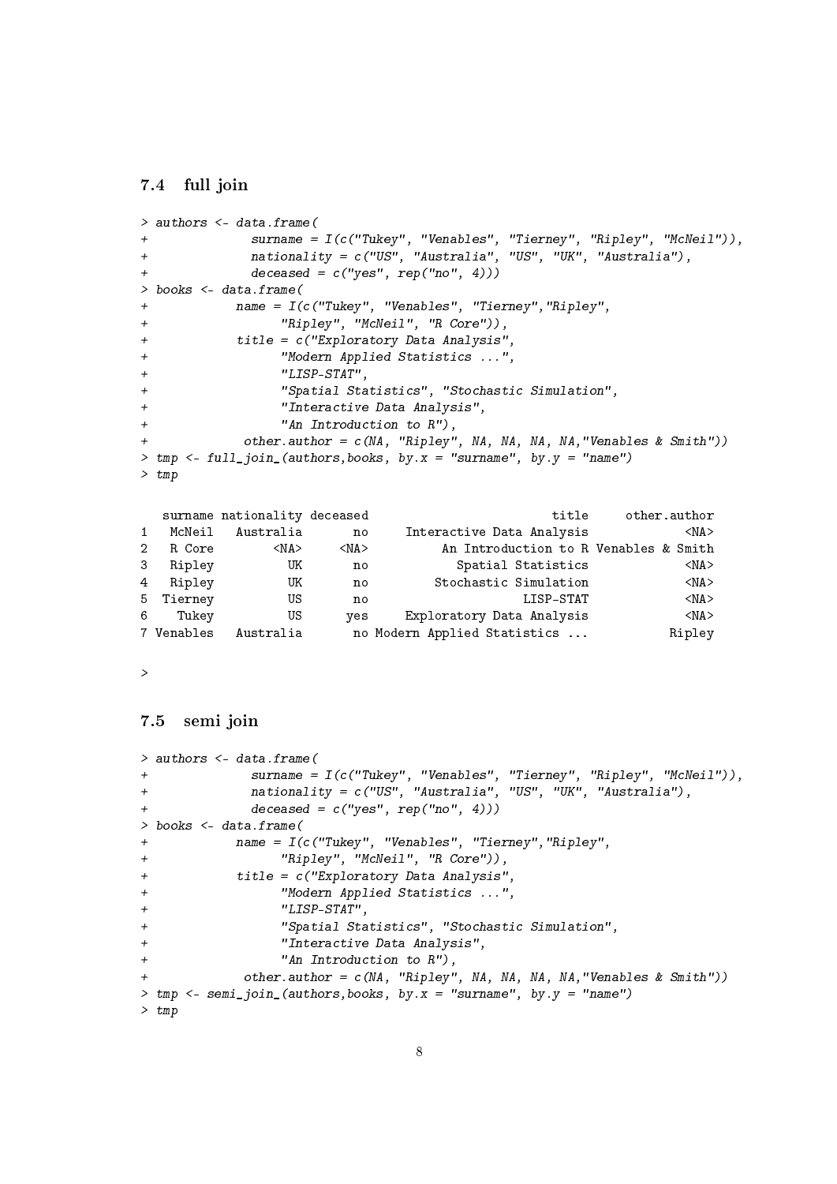#### 7.4 full join

```
> authors <- data.frame(
+ surname = I(c("Tukey", "Venables", "Tierney", "Ripley", "McNeil")),
+ nationality = c("US", "Australia", "US", "UK", "Australia"),
+ deceased = c("yes", rep("no", 4)))> books <- data.frame(
+ name = I(c("Tukey", "Venables", "Tierney","Ripley",
+ "Ripley", "McNeil", "R Core")),
+ title = c("Exploratory Data Analysis",
+ "Modern Applied Statistics ...",
+ "LISP-STAT",
               "Spatial Statistics", "Stochastic Simulation",
+ "Interactive Data Analysis",
+ "An Introduction to R"),
          other.author = c(NA, 'Ripley', NA, NA, NA, 'Wenables & Smith'))
> tmp \le full_join_(authors, books, by.x = "surname", by.y = "name")
> tmp
  surname nationality deceased title other.author
1 McNeil Australia no Interactive Data Analysis <NA>
2 R Core <NA> <NA> An Introduction to R Venables & Smith
3 Ripley UK no Spatial Statistics <NA><br>4 Ripley UK no Stochastic Simulation <NA>
4 Ripley UK no Stochastic Simulation <NA><br>5 Tierney US no LISP-STAT <NA>
5 Tierney US no LISP-STAT <NA>
6 Tukey US yes Exploratory Data Analysis <NA>
7 Venables Australia no Modern Applied Statistics ... Ripley
```
>

#### 7.5 semi join

```
> authors <- data.frame(
+ surname = I(c("Tukey", "Venables", "Tierney", "Ripley", "McNeil")),
+ nationality = c("US", "Australia", "US", "UK", "Australia"),
+ deceased = c("yes", rep("no", 4)))> books <- data.frame(
+ name = I(c("Tukey", "Venables", "Tierney","Ripley",
+ "Ripley", "McNeil", "R Core")),
+ title = c("Exploratory Data Analysis",
+ "Modern Applied Statistics ...",
+ "LISP-STAT",
+ "Spatial Statistics", "Stochastic Simulation",
+ "Interactive Data Analysis",
+ "An Introduction to R"),
           other.author = c(NA, "Ripley", NA, NA, NA, NA," Venables & Smith"))
> tmp \leq semi_join_(authors, books, by.x = "surname", by.y = "name")
> tmp
```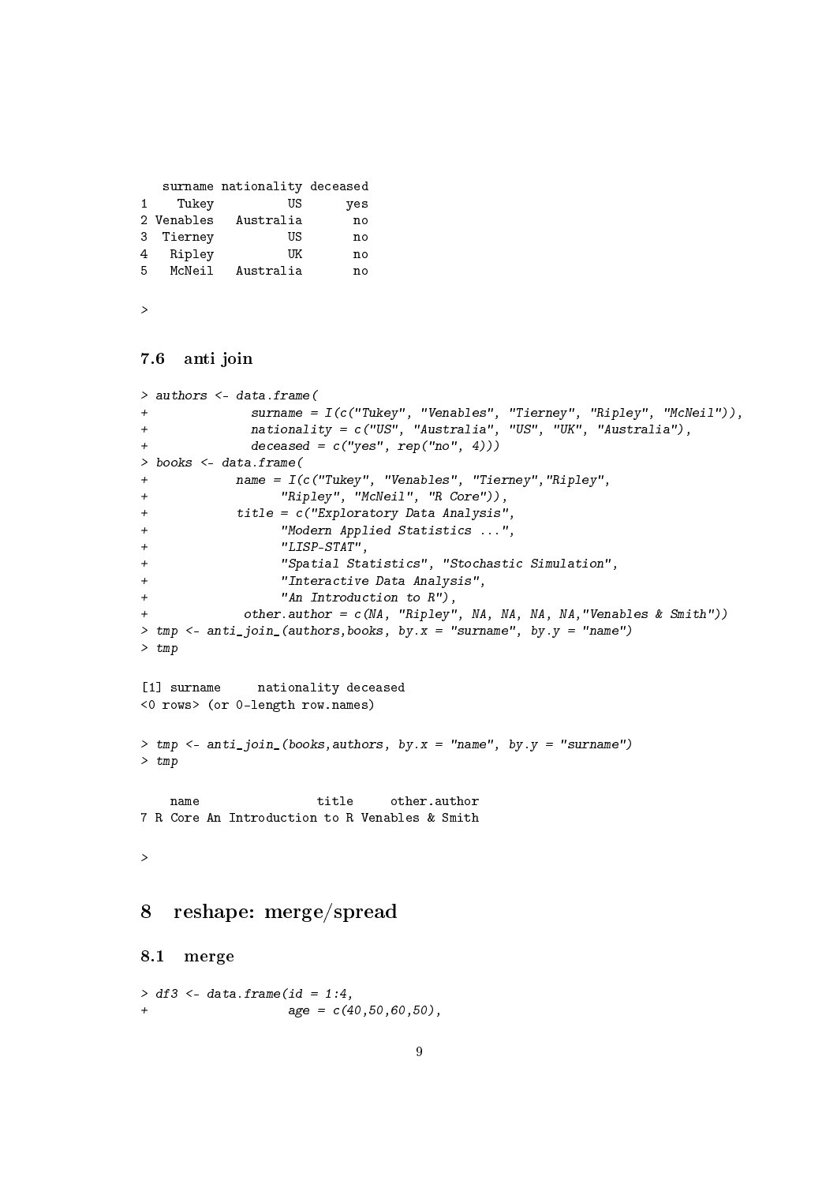```
surname nationality deceased
1 Tukey US yes
2 Venables Australia no
3 Tierney US no
4 Ripley UK no
5 McNeil Australia no
```
>

#### 7.6 anti join

```
> authors <- data.frame(
+ surname = I(c("Tukey", "Venables", "Tierney", "Ripley", "McNeil")),
+ nationality = c("US", "Australia", "US", "UK", "Australia"),
+ deceased = c("yes", rep("no", 4)))> books <- data.frame(
+ name = I(c("Tukey", "Venables", "Tierney","Ripley",
+ "Ripley", "McNeil", "R Core")),
+ title = c("Exploratory Data Analysis",
+ "Modern Applied Statistics ...",
+ "LISP-STAT",
+ "Spatial Statistics", "Stochastic Simulation",
                "Interactive Data Analysis",
+ "An Introduction to R"),
+ other.author = c(NA, "Ripley", NA, NA, NA, NA,"Venables & Smith"))
> tmp <- anti_join_(authors,books, by.x = "surname", by.y = "name")
> tmp
[1] surname nationality deceased
<0 rows> (or 0-length row.names)
> tmp <- anti_join_(books,authors, by.x = "name", by.y = "surname")
> tmp
   name title other.author
7 R Core An Introduction to R Venables & Smith
>
8 reshape: merge/spread
8.1 merge
> df3 <- data.frame(id = 1:4,
+ \text{age} = c(40.50.60.50),
```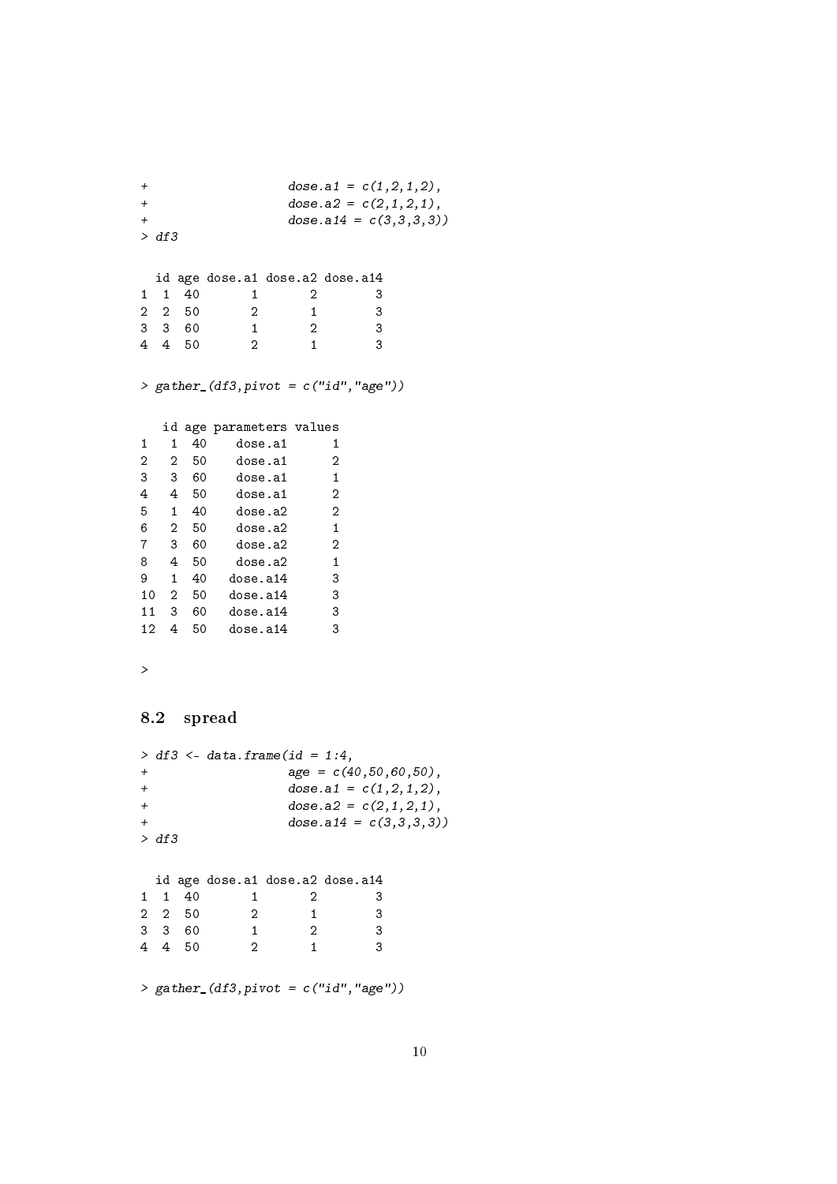```
+ \text{dose.a1} = c(1,2,1,2),+ \text{dose.a2} = c(2,1,2,1),+ dose.a14 = c(3,3,3,3)> df3
 id age dose.a1 dose.a2 dose.a14
1 1 40 1 2 3
2 2 50 2 1 3
3 3 60 1 2 3
4 4 50 2 1 3
> gather_(df3,pivot = c("id","age"))
  id age parameters values
1 1 40 dose.a1 1<br>2 2 50 dose.a1 2
2 2 50 dose.a1 2
3 3 60 dose.a1 1
4 4 50 dose.a1 2
5 1 40 dose.a2 2
6 2 50 dose.a2 1
7 3 60 dose.a2 2
8  4  50  dose.a2  1<br>9  1  40  dose.a14  3
9 1 40 dose.a14 3
10 2 50 dose.a14 3
11 3 60 dose.a14 3
12 4 50 dose.a14 3
>
8.2 spread
> df3 <- data.frame(id = 1:4,
+ age = c(40, 50, 60, 50),
+ \text{dose.a1} = c(1,2,1,2),+ dose.a2 = c(2,1,2,1),+ \cos \theta \cdot a14 = c(3,3,3,3)> df3
 id age dose.a1 dose.a2 dose.a14
1 1 40 1 2 3
2 2 50 2 1 3
3 3 60 1 2 3
4 4 50 2 1 3
> gather_(df3,pivot = c("id","age"))
```